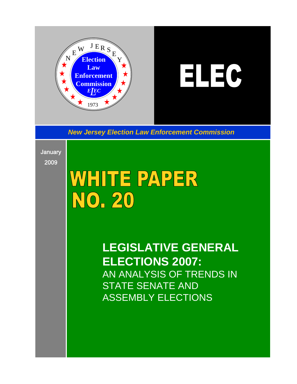

# $H = 0$

*New Jersey Election Law Enforcement Commission*

**January** 2009

# WHITE PAPER NO. 20

**LEGISLATIVE GENERAL ELECTIONS 2007:** AN ANALYSIS OF TRENDS IN STATE SENATE AND ASSEMBLY ELECTIONS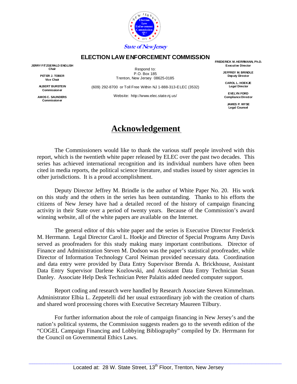

#### **ELECTION LAW ENFORCEMENT COMMISSION**

**JERRY FITZGERALD ENGLISH Chair** 

> **PETER J. TOBER Vice Chair**

> **ALBERT BURSTEIN Commissioner**

**AMOS C. SAUNDERS Commissioner** 

Respond to: P.O. Box 185 Trenton, New Jersey 08625-0185

(609) 292-8700 or Toll Free Within NJ 1-888-313-ELEC (3532)

Website: http://www.elec.state.nj.us/

**FREDERICK M. HERRMANN, Ph.D. Executive Director** 

> **JEFFREY M. BRINDLE Deputy Director**

**CAROL L. HOEKJE Legal Director** 

**EVELYN FORD Compliance Director** 

**JAMES P. WYSE Legal Counsel** 

## **Acknowledgement**

 The Commissioners would like to thank the various staff people involved with this report, which is the twentieth white paper released by ELEC over the past two decades. This series has achieved international recognition and its individual numbers have often been cited in media reports, the political science literature, and studies issued by sister agencies in other jurisdictions. It is a proud accomplishment.

 Deputy Director Jeffrey M. Brindle is the author of White Paper No. 20. His work on this study and the others in the series has been outstanding. Thanks to his efforts the citizens of New Jersey have had a detailed record of the history of campaign financing activity in their State over a period of twenty years. Because of the Commission's award winning website, all of the white papers are available on the Internet.

 The general editor of this white paper and the series is Executive Director Frederick M. Herrmann. Legal Director Carol L. Hoekje and Director of Special Programs Amy Davis served as proofreaders for this study making many important contributions. Director of Finance and Administration Steven M. Dodson was the paper's statistical proofreader, while Director of Information Technology Carol Neiman provided necessary data. Coordination and data entry were provided by Data Entry Supervisor Brenda A. Brickhouse, Assistant Data Entry Supervisor Darlene Kozlowski, and Assistant Data Entry Technician Susan Danley. Associate Help Desk Technician Peter Palaitis added needed computer support.

 Report coding and research were handled by Research Associate Steven Kimmelman. Administrator Elbia L. Zeppetelli did her usual extraordinary job with the creation of charts and shared word processing chores with Executive Secretary Maureen Tilbury.

 For further information about the role of campaign financing in New Jersey's and the nation's political systems, the Commission suggests readers go to the seventh edition of the "COGEL Campaign Financing and Lobbying Bibliography" compiled by Dr. Herrmann for the Council on Governmental Ethics Laws.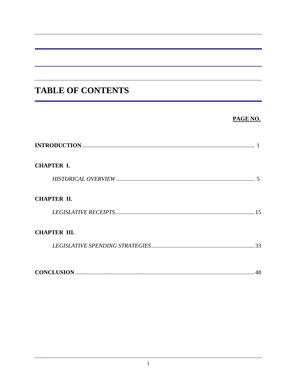# **TABLE OF CONTENTS**

#### PAGE NO.

| <b>CHAPTER I.</b>   |  |
|---------------------|--|
|                     |  |
| <b>CHAPTER II.</b>  |  |
|                     |  |
| <b>CHAPTER III.</b> |  |
|                     |  |
|                     |  |
| 48                  |  |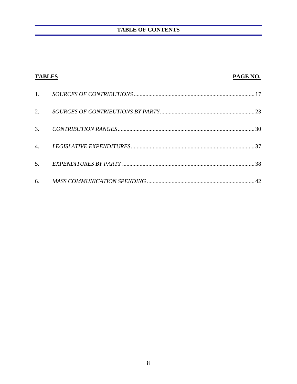| <b>TABLES</b>    | PAGE NO. |
|------------------|----------|
| 1.               |          |
| 2.               |          |
| 3.               |          |
| $\overline{4}$ . |          |
| 5.               |          |
| 6.               | 42       |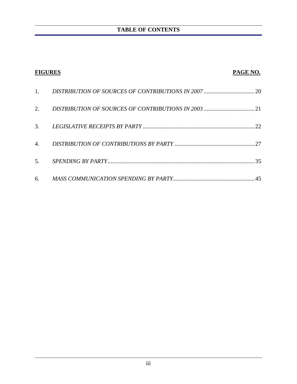| <b>FIGURES</b> | PAGE NO. |
|----------------|----------|
| 1.             |          |
| 2.             |          |
| 3.             |          |
| 4.             |          |
| 5.             |          |
| 6.             | 45       |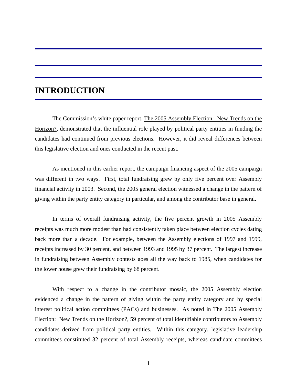# **INTRODUCTION**

 The Commission's white paper report, The 2005 Assembly Election: New Trends on the Horizon?, demonstrated that the influential role played by political party entities in funding the candidates had continued from previous elections. However, it did reveal differences between this legislative election and ones conducted in the recent past.

 As mentioned in this earlier report, the campaign financing aspect of the 2005 campaign was different in two ways. First, total fundraising grew by only five percent over Assembly financial activity in 2003. Second, the 2005 general election witnessed a change in the pattern of giving within the party entity category in particular, and among the contributor base in general.

 In terms of overall fundraising activity, the five percent growth in 2005 Assembly receipts was much more modest than had consistently taken place between election cycles dating back more than a decade. For example, between the Assembly elections of 1997 and 1999, receipts increased by 30 percent, and between 1993 and 1995 by 37 percent. The largest increase in fundraising between Assembly contests goes all the way back to 1985, when candidates for the lower house grew their fundraising by 68 percent.

 With respect to a change in the contributor mosaic, the 2005 Assembly election evidenced a change in the pattern of giving within the party entity category and by special interest political action committees (PACs) and businesses. As noted in The 2005 Assembly Election: New Trends on the Horizon?, 59 percent of total identifiable contributors to Assembly candidates derived from political party entities. Within this category, legislative leadership committees constituted 32 percent of total Assembly receipts, whereas candidate committees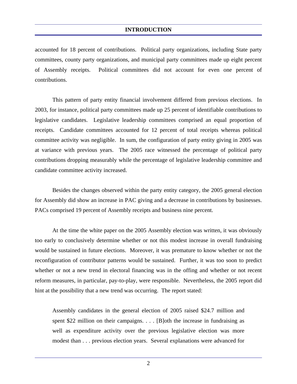accounted for 18 percent of contributions. Political party organizations, including State party committees, county party organizations, and municipal party committees made up eight percent of Assembly receipts. Political committees did not account for even one percent of contributions.

 This pattern of party entity financial involvement differed from previous elections. In 2003, for instance, political party committees made up 25 percent of identifiable contributions to legislative candidates. Legislative leadership committees comprised an equal proportion of receipts. Candidate committees accounted for 12 percent of total receipts whereas political committee activity was negligible. In sum, the configuration of party entity giving in 2005 was at variance with previous years. The 2005 race witnessed the percentage of political party contributions dropping measurably while the percentage of legislative leadership committee and candidate committee activity increased.

 Besides the changes observed within the party entity category, the 2005 general election for Assembly did show an increase in PAC giving and a decrease in contributions by businesses. PACs comprised 19 percent of Assembly receipts and business nine percent.

 At the time the white paper on the 2005 Assembly election was written, it was obviously too early to conclusively determine whether or not this modest increase in overall fundraising would be sustained in future elections. Moreover, it was premature to know whether or not the reconfiguration of contributor patterns would be sustained. Further, it was too soon to predict whether or not a new trend in electoral financing was in the offing and whether or not recent reform measures, in particular, pay-to-play, were responsible. Nevertheless, the 2005 report did hint at the possibility that a new trend was occurring. The report stated:

Assembly candidates in the general election of 2005 raised \$24.7 million and spent \$22 million on their campaigns.  $\ldots$  [B]oth the increase in fundraising as well as expenditure activity over the previous legislative election was more modest than . . . previous election years. Several explanations were advanced for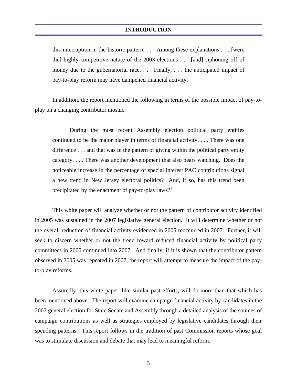#### **INTRODUCTION**

this interruption in the historic pattern. . . . Among these explanations . . . [were the] highly competitive nature of the 2003 elections . . . [and] siphoning off of money due to the gubernatorial race. . . . Finally, . . . the anticipated impact of pay-to-play reform may have dampened financial activity.<sup>1</sup>

 In addition, the report mentioned the following in terms of the possible impact of pay-toplay on a changing contributor mosaic:

 During the most recent Assembly election political party entities continued to be the major player in terms of financial activity. . . . There was one difference . . . and that was in the pattern of giving within the political party entity category. . . . There was another development that also bears watching. Does the noticeable increase in the percentage of special interest PAC contributions signal a new trend in New Jersey electoral politics? And, if so, has this trend been precipitated by the enactment of pay-to-play laws?<sup>2</sup>

 This white paper will analyze whether or not the pattern of contributor activity identified in 2005 was sustained in the 2007 legislative general election. It will determine whether or not the overall reduction of financial activity evidenced in 2005 reoccurred in 2007. Further, it will seek to discern whether or not the trend toward reduced financial activity by political party committees in 2005 continued into 2007. And finally, if it is shown that the contributor pattern observed in 2005 was repeated in 2007, the report will attempt to measure the impact of the payto-play reforms.

 Assuredly, this white paper, like similar past efforts, will do more than that which has been mentioned above. The report will examine campaign financial activity by candidates in the 2007 general election for State Senate and Assembly through a detailed analysis of the sources of campaign contributions as well as strategies employed by legislative candidates through their spending patterns. This report follows in the tradition of past Commission reports whose goal was to stimulate discussion and debate that may lead to meaningful reform.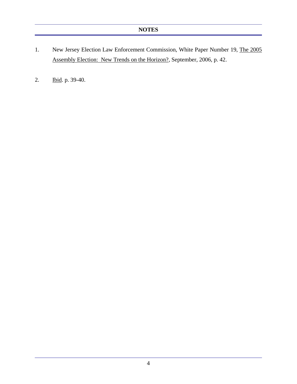- 1. New Jersey Election Law Enforcement Commission, White Paper Number 19, The 2005 Assembly Election: New Trends on the Horizon?, September, 2006, p. 42.
- 2. Ibid. p. 39-40.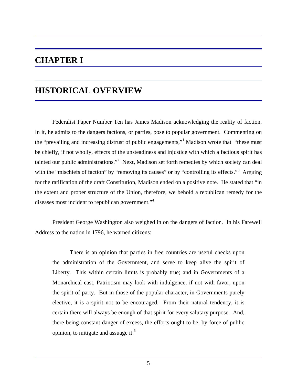# **CHAPTER I**

# **HISTORICAL OVERVIEW**

 Federalist Paper Number Ten has James Madison acknowledging the reality of faction. In it, he admits to the dangers factions, or parties, pose to popular government. Commenting on the "prevailing and increasing distrust of public engagements," Madison wrote that "these must be chiefly, if not wholly, effects of the unsteadiness and injustice with which a factious spirit has tainted our public administrations."<sup>2</sup> Next, Madison set forth remedies by which society can deal with the "mischiefs of faction" by "removing its causes" or by "controlling its effects."<sup>3</sup> Arguing for the ratification of the draft Constitution, Madison ended on a positive note. He stated that "in the extent and proper structure of the Union, therefore, we behold a republican remedy for the diseases most incident to republican government."<sup>4</sup>

 President George Washington also weighed in on the dangers of faction. In his Farewell Address to the nation in 1796, he warned citizens:

 There is an opinion that parties in free countries are useful checks upon the administration of the Government, and serve to keep alive the spirit of Liberty. This within certain limits is probably true; and in Governments of a Monarchical cast, Patriotism may look with indulgence, if not with favor, upon the spirit of party. But in those of the popular character, in Governments purely elective, it is a spirit not to be encouraged. From their natural tendency, it is certain there will always be enough of that spirit for every salutary purpose. And, there being constant danger of excess, the efforts ought to be, by force of public opinion, to mitigate and assuage it. $5$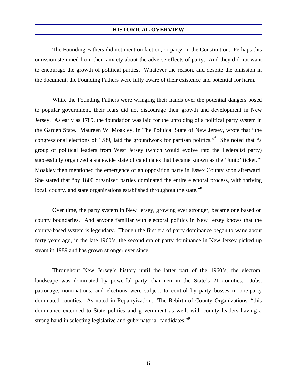The Founding Fathers did not mention faction, or party, in the Constitution. Perhaps this omission stemmed from their anxiety about the adverse effects of party. And they did not want to encourage the growth of political parties. Whatever the reason, and despite the omission in the document, the Founding Fathers were fully aware of their existence and potential for harm.

 While the Founding Fathers were wringing their hands over the potential dangers posed to popular government, their fears did not discourage their growth and development in New Jersey. As early as 1789, the foundation was laid for the unfolding of a political party system in the Garden State. Maureen W. Moakley, in The Political State of New Jersey, wrote that "the congressional elections of 1789, laid the groundwork for partisan politics."6 She noted that "a group of political leaders from West Jersey (which would evolve into the Federalist party) successfully organized a statewide slate of candidates that became known as the 'Junto' ticket."<sup>7</sup> Moakley then mentioned the emergence of an opposition party in Essex County soon afterward. She stated that "by 1800 organized parties dominated the entire electoral process, with thriving local, county, and state organizations established throughout the state."<sup>8</sup>

 Over time, the party system in New Jersey, growing ever stronger, became one based on county boundaries. And anyone familiar with electoral politics in New Jersey knows that the county-based system is legendary. Though the first era of party dominance began to wane about forty years ago, in the late 1960's, the second era of party dominance in New Jersey picked up steam in 1989 and has grown stronger ever since.

 Throughout New Jersey's history until the latter part of the 1960's, the electoral landscape was dominated by powerful party chairmen in the State's 21 counties. Jobs, patronage, nominations, and elections were subject to control by party bosses in one-party dominated counties. As noted in Repartyization: The Rebirth of County Organizations, "this dominance extended to State politics and government as well, with county leaders having a strong hand in selecting legislative and gubernatorial candidates."<sup>9</sup>

6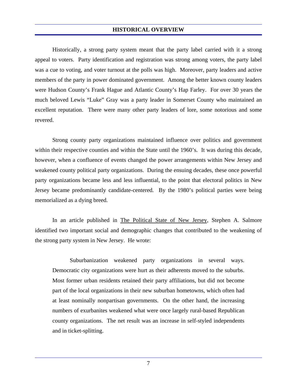Historically, a strong party system meant that the party label carried with it a strong appeal to voters. Party identification and registration was strong among voters, the party label was a cue to voting, and voter turnout at the polls was high. Moreover, party leaders and active members of the party in power dominated government. Among the better known county leaders were Hudson County's Frank Hague and Atlantic County's Hap Farley. For over 30 years the much beloved Lewis "Luke" Gray was a party leader in Somerset County who maintained an excellent reputation. There were many other party leaders of lore, some notorious and some revered.

 Strong county party organizations maintained influence over politics and government within their respective counties and within the State until the 1960's. It was during this decade, however, when a confluence of events changed the power arrangements within New Jersey and weakened county political party organizations. During the ensuing decades, these once powerful party organizations became less and less influential, to the point that electoral politics in New Jersey became predominantly candidate-centered. By the 1980's political parties were being memorialized as a dying breed.

In an article published in The Political State of New Jersey, Stephen A. Salmore identified two important social and demographic changes that contributed to the weakening of the strong party system in New Jersey. He wrote:

 Suburbanization weakened party organizations in several ways. Democratic city organizations were hurt as their adherents moved to the suburbs. Most former urban residents retained their party affiliations, but did not become part of the local organizations in their new suburban hometowns, which often had at least nominally nonpartisan governments. On the other hand, the increasing numbers of exurbanites weakened what were once largely rural-based Republican county organizations. The net result was an increase in self-styled independents and in ticket-splitting.

7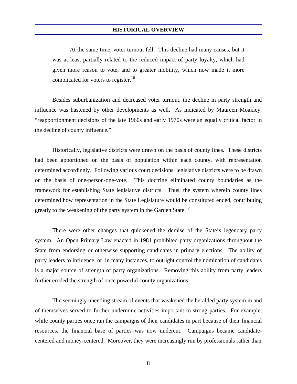At the same time, voter turnout fell. This decline had many causes, but it was at least partially related to the reduced impact of party loyalty, which had given more reason to vote, and to greater mobility, which now made it more complicated for voters to register.<sup>10</sup>

 Besides suburbanization and decreased voter turnout, the decline in party strength and influence was hastened by other developments as well. As indicated by Maureen Moakley, "reapportionment decisions of the late 1960s and early 1970s were an equally critical factor in the decline of county influence."<sup>11</sup>

 Historically, legislative districts were drawn on the basis of county lines. These districts had been apportioned on the basis of population within each county, with representation determined accordingly. Following various court decisions, legislative districts were to be drawn on the basis of one-person-one-vote. This doctrine eliminated county boundaries as the framework for establishing State legislative districts. Thus, the system wherein county lines determined how representation in the State Legislature would be constituted ended, contributing greatly to the weakening of the party system in the Garden State.<sup>12</sup>

 There were other changes that quickened the demise of the State's legendary party system. An Open Primary Law enacted in 1981 prohibited party organizations throughout the State from endorsing or otherwise supporting candidates in primary elections. The ability of party leaders to influence, or, in many instances, to outright control the nomination of candidates is a major source of strength of party organizations. Removing this ability from party leaders further eroded the strength of once powerful county organizations.

 The seemingly unending stream of events that weakened the heralded party system in and of themselves served to further undermine activities important to strong parties. For example, while county parties once ran the campaigns of their candidates in part because of their financial resources, the financial base of parties was now undercut. Campaigns became candidatecentered and money-centered. Moreover, they were increasingly run by professionals rather than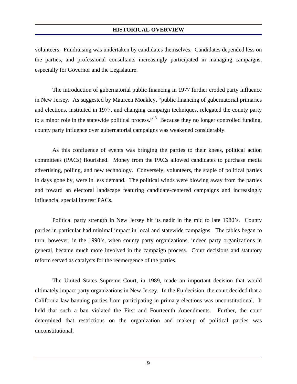volunteers. Fundraising was undertaken by candidates themselves. Candidates depended less on the parties, and professional consultants increasingly participated in managing campaigns, especially for Governor and the Legislature.

 The introduction of gubernatorial public financing in 1977 further eroded party influence in New Jersey. As suggested by Maureen Moakley, "public financing of gubernatorial primaries and elections, instituted in 1977, and changing campaign techniques, relegated the county party to a minor role in the statewide political process."<sup>13</sup> Because they no longer controlled funding, county party influence over gubernatorial campaigns was weakened considerably.

 As this confluence of events was bringing the parties to their knees, political action committees (PACs) flourished. Money from the PACs allowed candidates to purchase media advertising, polling, and new technology. Conversely, volunteers, the staple of political parties in days gone by, were in less demand. The political winds were blowing away from the parties and toward an electoral landscape featuring candidate-centered campaigns and increasingly influencial special interest PACs.

 Political party strength in New Jersey hit its nadir in the mid to late 1980's. County parties in particular had minimal impact in local and statewide campaigns. The tables began to turn, however, in the 1990's, when county party organizations, indeed party organizations in general, became much more involved in the campaign process. Court decisions and statutory reform served as catalysts for the reemergence of the parties.

 The United States Supreme Court, in 1989, made an important decision that would ultimately impact party organizations in New Jersey. In the Eu decision, the court decided that a California law banning parties from participating in primary elections was unconstitutional. It held that such a ban violated the First and Fourteenth Amendments. Further, the court determined that restrictions on the organization and makeup of political parties was unconstitutional.

9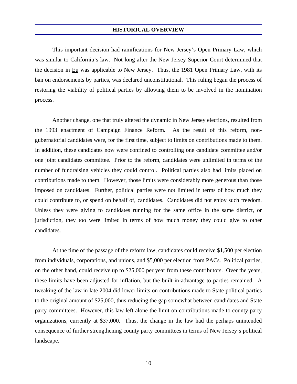This important decision had ramifications for New Jersey's Open Primary Law, which was similar to California's law. Not long after the New Jersey Superior Court determined that the decision in Eu was applicable to New Jersey. Thus, the 1981 Open Primary Law, with its ban on endorsements by parties, was declared unconstitutional. This ruling began the process of restoring the viability of political parties by allowing them to be involved in the nomination process.

 Another change, one that truly altered the dynamic in New Jersey elections, resulted from the 1993 enactment of Campaign Finance Reform. As the result of this reform, nongubernatorial candidates were, for the first time, subject to limits on contributions made to them. In addition, these candidates now were confined to controlling one candidate committee and/or one joint candidates committee. Prior to the reform, candidates were unlimited in terms of the number of fundraising vehicles they could control. Political parties also had limits placed on contributions made to them. However, those limits were considerably more generous than those imposed on candidates. Further, political parties were not limited in terms of how much they could contribute to, or spend on behalf of, candidates. Candidates did not enjoy such freedom. Unless they were giving to candidates running for the same office in the same district, or jurisdiction, they too were limited in terms of how much money they could give to other candidates.

 At the time of the passage of the reform law, candidates could receive \$1,500 per election from individuals, corporations, and unions, and \$5,000 per election from PACs. Political parties, on the other hand, could receive up to \$25,000 per year from these contributors. Over the years, these limits have been adjusted for inflation, but the built-in-advantage to parties remained. A tweaking of the law in late 2004 did lower limits on contributions made to State political parties to the original amount of \$25,000, thus reducing the gap somewhat between candidates and State party committees. However, this law left alone the limit on contributions made to county party organizations, currently at \$37,000. Thus, the change in the law had the perhaps unintended consequence of further strengthening county party committees in terms of New Jersey's political landscape.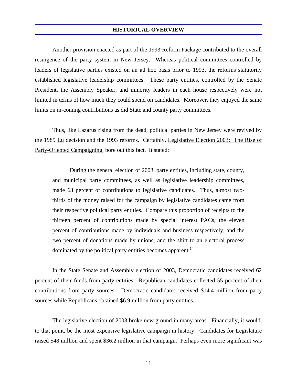Another provision enacted as part of the 1993 Reform Package contributed to the overall resurgence of the party system in New Jersey. Whereas political committees controlled by leaders of legislative parties existed on an ad hoc basis prior to 1993, the reforms statutorily established legislative leadership committees. These party entities, controlled by the Senate President, the Assembly Speaker, and minority leaders in each house respectively were not limited in terms of how much they could spend on candidates. Moreover, they enjoyed the same limits on in-coming contributions as did State and county party committees.

 Thus, like Lazarus rising from the dead, political parties in New Jersey were revived by the 1989 Eu decision and the 1993 reforms. Certainly, Legislative Election 2003: The Rise of Party-Oriented Campaigning, bore out this fact. It stated:

 During the general election of 2003, party entities, including state, county, and municipal party committees, as well as legislative leadership committees, made 63 percent of contributions to legislative candidates. Thus, almost twothirds of the money raised for the campaign by legislative candidates came from their respective political party entities. Compare this proportion of receipts to the thirteen percent of contributions made by special interest PACs, the eleven percent of contributions made by individuals and business respectively, and the two percent of donations made by unions; and the shift to an electoral process dominated by the political party entities becomes apparent.<sup>14</sup>

 In the State Senate and Assembly election of 2003, Democratic candidates received 62 percent of their funds from party entities. Republican candidates collected 55 percent of their contributions from party sources. Democratic candidates received \$14.4 million from party sources while Republicans obtained \$6.9 million from party entities.

 The legislative election of 2003 broke new ground in many areas. Financially, it would, to that point, be the most expensive legislative campaign in history. Candidates for Legislature raised \$48 million and spent \$36.2 million in that campaign. Perhaps even more significant was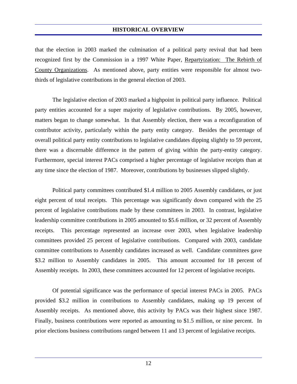that the election in 2003 marked the culmination of a political party revival that had been recognized first by the Commission in a 1997 White Paper, Repartyization: The Rebirth of County Organizations. As mentioned above, party entities were responsible for almost twothirds of legislative contributions in the general election of 2003.

 The legislative election of 2003 marked a highpoint in political party influence. Political party entities accounted for a super majority of legislative contributions. By 2005, however, matters began to change somewhat. In that Assembly election, there was a reconfiguration of contributor activity, particularly within the party entity category. Besides the percentage of overall political party entity contributions to legislative candidates dipping slightly to 59 percent, there was a discernable difference in the pattern of giving within the party-entity category. Furthermore, special interest PACs comprised a higher percentage of legislative receipts than at any time since the election of 1987. Moreover, contributions by businesses slipped slightly.

 Political party committees contributed \$1.4 million to 2005 Assembly candidates, or just eight percent of total receipts. This percentage was significantly down compared with the 25 percent of legislative contributions made by these committees in 2003. In contrast, legislative leadership committee contributions in 2005 amounted to \$5.6 million, or 32 percent of Assembly receipts. This percentage represented an increase over 2003, when legislative leadership committees provided 25 percent of legislative contributions. Compared with 2003, candidate committee contributions to Assembly candidates increased as well. Candidate committees gave \$3.2 million to Assembly candidates in 2005. This amount accounted for 18 percent of Assembly receipts. In 2003, these committees accounted for 12 percent of legislative receipts.

 Of potential significance was the performance of special interest PACs in 2005. PACs provided \$3.2 million in contributions to Assembly candidates, making up 19 percent of Assembly receipts. As mentioned above, this activity by PACs was their highest since 1987. Finally, business contributions were reported as amounting to \$1.5 million, or nine percent. In prior elections business contributions ranged between 11 and 13 percent of legislative receipts.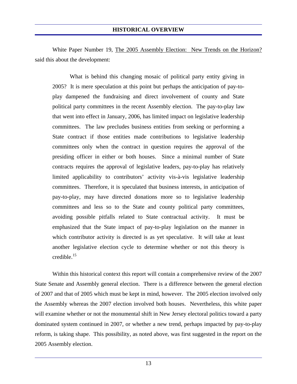White Paper Number 19, The 2005 Assembly Election: New Trends on the Horizon? said this about the development:

 What is behind this changing mosaic of political party entity giving in 2005? It is mere speculation at this point but perhaps the anticipation of pay-toplay dampened the fundraising and direct involvement of county and State political party committees in the recent Assembly election. The pay-to-play law that went into effect in January, 2006, has limited impact on legislative leadership committees. The law precludes business entities from seeking or performing a State contract if those entities made contributions to legislative leadership committees only when the contract in question requires the approval of the presiding officer in either or both houses. Since a minimal number of State contracts requires the approval of legislative leaders, pay-to-play has relatively limited applicability to contributors' activity vis-à-vis legislative leadership committees. Therefore, it is speculated that business interests, in anticipation of pay-to-play, may have directed donations more so to legislative leadership committees and less so to the State and county political party committees, avoiding possible pitfalls related to State contractual activity. It must be emphasized that the State impact of pay-to-play legislation on the manner in which contributor activity is directed is as yet speculative. It will take at least another legislative election cycle to determine whether or not this theory is credible.15

 Within this historical context this report will contain a comprehensive review of the 2007 State Senate and Assembly general election. There is a difference between the general election of 2007 and that of 2005 which must be kept in mind, however. The 2005 election involved only the Assembly whereas the 2007 election involved both houses. Nevertheless, this white paper will examine whether or not the monumental shift in New Jersey electoral politics toward a party dominated system continued in 2007, or whether a new trend, perhaps impacted by pay-to-play reform, is taking shape. This possibility, as noted above, was first suggested in the report on the 2005 Assembly election.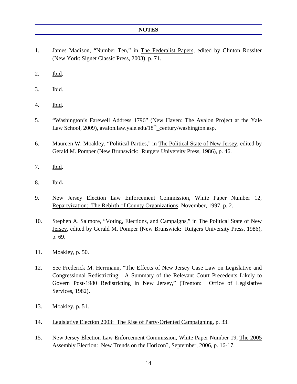#### **NOTES**

- 1. James Madison, "Number Ten," in The Federalist Papers, edited by Clinton Rossiter (New York: Signet Classic Press, 2003), p. 71.
- 2. Ibid.
- 3. Ibid.
- 4. Ibid.
- 5. "Washington's Farewell Address 1796" (New Haven: The Avalon Project at the Yale Law School, 2009), avalon.law.yale.edu/ $18<sup>th</sup>$ \_century/washington.asp.
- 6. Maureen W. Moakley, "Political Parties," in The Political State of New Jersey, edited by Gerald M. Pomper (New Brunswick: Rutgers University Press, 1986), p. 46.
- 7. Ibid.
- 8. Ibid.
- 9. New Jersey Election Law Enforcement Commission, White Paper Number 12, Repartyization: The Rebirth of County Organizations, November, 1997, p. 2.
- 10. Stephen A. Salmore, "Voting, Elections, and Campaigns," in The Political State of New Jersey, edited by Gerald M. Pomper (New Brunswick: Rutgers University Press, 1986), p. 69.
- 11. Moakley, p. 50.
- 12. See Frederick M. Herrmann, "The Effects of New Jersey Case Law on Legislative and Congressional Redistricting: A Summary of the Relevant Court Precedents Likely to Govern Post-1980 Redistricting in New Jersey," (Trenton: Office of Legislative Services, 1982).
- 13. Moakley, p. 51.
- 14. Legislative Election 2003: The Rise of Party-Oriented Campaigning, p. 33.
- 15. New Jersey Election Law Enforcement Commission, White Paper Number 19, The 2005 Assembly Election: New Trends on the Horizon?, September, 2006, p. 16-17.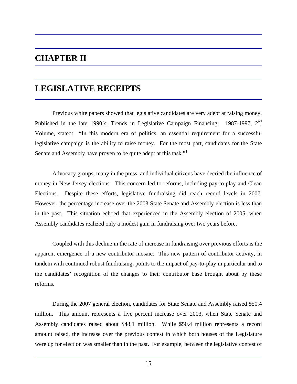# **CHAPTER II**

# **LEGISLATIVE RECEIPTS**

 Previous white papers showed that legislative candidates are very adept at raising money. Published in the late 1990's, Trends in Legislative Campaign Financing: 1987-1997, 2<sup>nd</sup> Volume, stated: "In this modern era of politics, an essential requirement for a successful legislative campaign is the ability to raise money. For the most part, candidates for the State Senate and Assembly have proven to be quite adept at this task."<sup>1</sup>

 Advocacy groups, many in the press, and individual citizens have decried the influence of money in New Jersey elections. This concern led to reforms, including pay-to-play and Clean Elections. Despite these efforts, legislative fundraising did reach record levels in 2007. However, the percentage increase over the 2003 State Senate and Assembly election is less than in the past. This situation echoed that experienced in the Assembly election of 2005, when Assembly candidates realized only a modest gain in fundraising over two years before.

 Coupled with this decline in the rate of increase in fundraising over previous efforts is the apparent emergence of a new contributor mosaic. This new pattern of contributor activity, in tandem with continued robust fundraising, points to the impact of pay-to-play in particular and to the candidates' recognition of the changes to their contributor base brought about by these reforms.

 During the 2007 general election, candidates for State Senate and Assembly raised \$50.4 million. This amount represents a five percent increase over 2003, when State Senate and Assembly candidates raised about \$48.1 million. While \$50.4 million represents a record amount raised, the increase over the previous contest in which both houses of the Legislature were up for election was smaller than in the past. For example, between the legislative contest of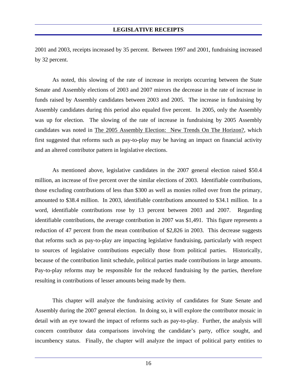2001 and 2003, receipts increased by 35 percent. Between 1997 and 2001, fundraising increased by 32 percent.

 As noted, this slowing of the rate of increase in receipts occurring between the State Senate and Assembly elections of 2003 and 2007 mirrors the decrease in the rate of increase in funds raised by Assembly candidates between 2003 and 2005. The increase in fundraising by Assembly candidates during this period also equaled five percent. In 2005, only the Assembly was up for election. The slowing of the rate of increase in fundraising by 2005 Assembly candidates was noted in The 2005 Assembly Election: New Trends On The Horizon?, which first suggested that reforms such as pay-to-play may be having an impact on financial activity and an altered contributor pattern in legislative elections.

 As mentioned above, legislative candidates in the 2007 general election raised \$50.4 million, an increase of five percent over the similar elections of 2003. Identifiable contributions, those excluding contributions of less than \$300 as well as monies rolled over from the primary, amounted to \$38.4 million. In 2003, identifiable contributions amounted to \$34.1 million. In a word, identifiable contributions rose by 13 percent between 2003 and 2007. Regarding identifiable contributions, the average contribution in 2007 was \$1,491. This figure represents a reduction of 47 percent from the mean contribution of \$2,826 in 2003. This decrease suggests that reforms such as pay-to-play are impacting legislative fundraising, particularly with respect to sources of legislative contributions especially those from political parties. Historically, because of the contribution limit schedule, political parties made contributions in large amounts. Pay-to-play reforms may be responsible for the reduced fundraising by the parties, therefore resulting in contributions of lesser amounts being made by them.

 This chapter will analyze the fundraising activity of candidates for State Senate and Assembly during the 2007 general election. In doing so, it will explore the contributor mosaic in detail with an eye toward the impact of reforms such as pay-to-play. Further, the analysis will concern contributor data comparisons involving the candidate's party, office sought, and incumbency status. Finally, the chapter will analyze the impact of political party entities to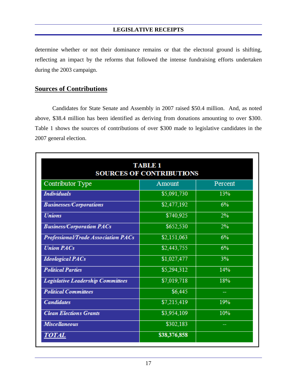determine whether or not their dominance remains or that the electoral ground is shifting, reflecting an impact by the reforms that followed the intense fundraising efforts undertaken during the 2003 campaign.

#### **Sources of Contributions**

 Candidates for State Senate and Assembly in 2007 raised \$50.4 million. And, as noted above, \$38.4 million has been identified as deriving from donations amounting to over \$300. Table 1 shows the sources of contributions of over \$300 made to legislative candidates in the 2007 general election.

|                                          | <b>TABLE 1</b><br><b>SOURCES OF CONTRIBUTIONS</b> |         |
|------------------------------------------|---------------------------------------------------|---------|
| Contributor Type                         | Amount                                            | Percent |
| <b>Individuals</b>                       | \$5,091,730                                       | 13%     |
| <b>Businesses/Corporations</b>           | \$2,477,192                                       | 6%      |
| <b>Unions</b>                            | \$740,925                                         | 2%      |
| <b>Business/Corporation PACs</b>         | \$652,530                                         | 2%      |
| Professional/Trade Association PACs      | \$2,151,063                                       | 6%      |
| <b>Union PACs</b>                        | \$2,443,755                                       | 6%      |
| <b>Ideological PACs</b>                  | \$1,027,477                                       | 3%      |
| <b>Political Parties</b>                 | \$5,294,312                                       | 14%     |
| <b>Legislative Leadership Committees</b> | \$7,019,718                                       | 18%     |
| <b>Political Committees</b>              | \$6,445                                           | --      |
| <b>Candidates</b>                        | \$7,215,419                                       | 19%     |
| <b>Clean Elections Grants</b>            | \$3,954,109                                       | 10%     |
| <b>Miscellaneous</b>                     | \$302,183                                         |         |
| TOTAL                                    | \$38,376,858                                      |         |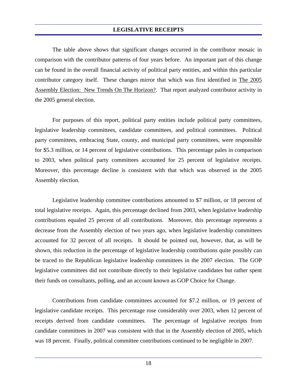The table above shows that significant changes occurred in the contributor mosaic in comparison with the contributor patterns of four years before. An important part of this change can be found in the overall financial activity of political party entities, and within this particular contributor category itself. These changes mirror that which was first identified in The 2005 Assembly Election: New Trends On The Horizon?. That report analyzed contributor activity in the 2005 general election.

 For purposes of this report, political party entities include political party committees, legislative leadership committees, candidate committees, and political committees. Political party committees, embracing State, county, and municipal party committees, were responsible for \$5.3 million, or 14 percent of legislative contributions. This percentage pales in comparison to 2003, when political party committees accounted for 25 percent of legislative receipts. Moreover, this percentage decline is consistent with that which was observed in the 2005 Assembly election.

 Legislative leadership committee contributions amounted to \$7 million, or 18 percent of total legislative receipts. Again, this percentage declined from 2003, when legislative leadership contributions equaled 25 percent of all contributions. Moreover, this percentage represents a decrease from the Assembly election of two years ago, when legislative leadership committees accounted for 32 percent of all receipts. It should be pointed out, however, that, as will be shown, this reduction in the percentage of legislative leadership contributions quite possibly can be traced to the Republican legislative leadership committees in the 2007 election. The GOP legislative committees did not contribute directly to their legislative candidates but rather spent their funds on consultants, polling, and an account known as GOP Choice for Change.

 Contributions from candidate committees accounted for \$7.2 million, or 19 percent of legislative candidate receipts. This percentage rose considerably over 2003, when 12 percent of receipts derived from candidate committees. The percentage of legislative receipts from candidate committees in 2007 was consistent with that in the Assembly election of 2005, which was 18 percent. Finally, political committee contributions continued to be negligible in 2007.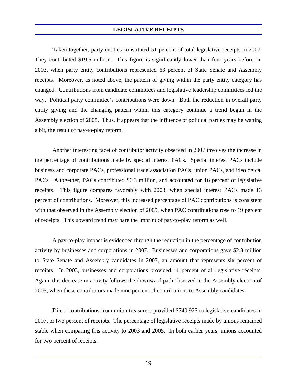Taken together, party entities constituted 51 percent of total legislative receipts in 2007. They contributed \$19.5 million. This figure is significantly lower than four years before, in 2003, when party entity contributions represented 63 percent of State Senate and Assembly receipts. Moreover, as noted above, the pattern of giving within the party entity category has changed. Contributions from candidate committees and legislative leadership committees led the way. Political party committee's contributions were down. Both the reduction in overall party entity giving and the changing pattern within this category continue a trend begun in the Assembly election of 2005. Thus, it appears that the influence of political parties may be waning a bit, the result of pay-to-play reform.

 Another interesting facet of contributor activity observed in 2007 involves the increase in the percentage of contributions made by special interest PACs. Special interest PACs include business and corporate PACs, professional trade association PACs, union PACs, and ideological PACs. Altogether, PACs contributed \$6.3 million, and accounted for 16 percent of legislative receipts. This figure compares favorably with 2003, when special interest PACs made 13 percent of contributions. Moreover, this increased percentage of PAC contributions is consistent with that observed in the Assembly election of 2005, when PAC contributions rose to 19 percent of receipts. This upward trend may bare the imprint of pay-to-play reform as well.

 A pay-to-play impact is evidenced through the reduction in the percentage of contribution activity by businesses and corporations in 2007. Businesses and corporations gave \$2.3 million to State Senate and Assembly candidates in 2007, an amount that represents six percent of receipts. In 2003, businesses and corporations provided 11 percent of all legislative receipts. Again, this decrease in activity follows the downward path observed in the Assembly election of 2005, when these contributors made nine percent of contributions to Assembly candidates.

 Direct contributions from union treasurers provided \$740,925 to legislative candidates in 2007, or two percent of receipts. The percentage of legislative receipts made by unions remained stable when comparing this activity to 2003 and 2005. In both earlier years, unions accounted for two percent of receipts.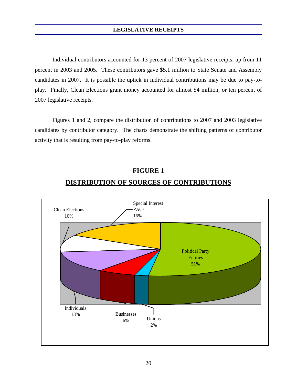Individual contributors accounted for 13 percent of 2007 legislative receipts, up from 11 percent in 2003 and 2005. These contributors gave \$5.1 million to State Senate and Assembly candidates in 2007. It is possible the uptick in individual contributions may be due to pay-toplay. Finally, Clean Elections grant money accounted for almost \$4 million, or ten percent of 2007 legislative receipts.

 Figures 1 and 2, compare the distribution of contributions to 2007 and 2003 legislative candidates by contributor category. The charts demonstrate the shifting patterns of contributor activity that is resulting from pay-to-play reforms.



#### **FIGURE 1**

#### **DISTRIBUTION OF SOURCES OF CONTRIBUTIONS**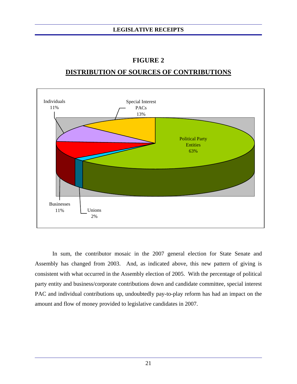# Political Party **Entities** 63% Unions 2% Businesses 11% Individuals 11% Special Interest PACs 13%

#### **FIGURE 2**

### **DISTRIBUTION OF SOURCES OF CONTRIBUTIONS**

 In sum, the contributor mosaic in the 2007 general election for State Senate and Assembly has changed from 2003. And, as indicated above, this new pattern of giving is consistent with what occurred in the Assembly election of 2005. With the percentage of political party entity and business/corporate contributions down and candidate committee, special interest PAC and individual contributions up, undoubtedly pay-to-play reform has had an impact on the amount and flow of money provided to legislative candidates in 2007.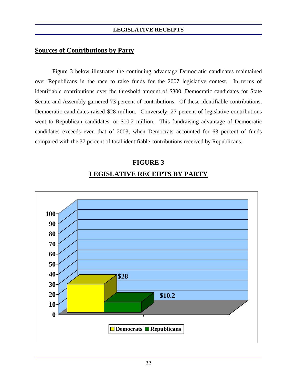#### **Sources of Contributions by Party**

 Figure 3 below illustrates the continuing advantage Democratic candidates maintained over Republicans in the race to raise funds for the 2007 legislative contest. In terms of identifiable contributions over the threshold amount of \$300, Democratic candidates for State Senate and Assembly garnered 73 percent of contributions. Of these identifiable contributions, Democratic candidates raised \$28 million. Conversely, 27 percent of legislative contributions went to Republican candidates, or \$10.2 million. This fundraising advantage of Democratic candidates exceeds even that of 2003, when Democrats accounted for 63 percent of funds compared with the 37 percent of total identifiable contributions received by Republicans.

#### **FIGURE 3**

#### **LEGISLATIVE RECEIPTS BY PARTY**

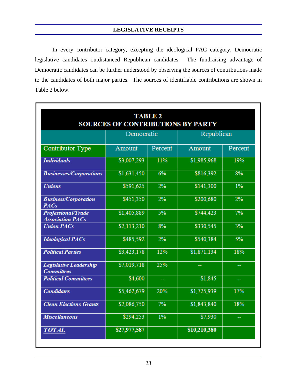In every contributor category, excepting the ideological PAC category, Democratic legislative candidates outdistanced Republican candidates. The fundraising advantage of Democratic candidates can be further understood by observing the sources of contributions made to the candidates of both major parties. The sources of identifiable contributions are shown in Table 2 below.

|                                                    | <b>SOURCES OF CONTRIBUTIONS BY PARTY</b> | <b>TABLE 2</b> |              |         |  |
|----------------------------------------------------|------------------------------------------|----------------|--------------|---------|--|
|                                                    | Democratic                               |                | Republican   |         |  |
| Contributor Type                                   | Amount                                   | Percent        | Amount       | Percent |  |
| <b>Individuals</b>                                 | \$3,007,293                              | 11%            | \$1,985,968  | 19%     |  |
| <b>Businesses/Corporations</b>                     | \$1,631,450                              | 6%             | \$816,392    | 8%      |  |
| <b>Unions</b>                                      | \$591,625                                | 2%             | \$141,300    | $1\%$   |  |
| <b>Business/Corporation</b><br><b>PACs</b>         | \$451,350                                | 2%             | \$200,680    | 2%      |  |
| Professional/Trade<br><b>Association PACs</b>      | \$1,405,889                              | 5%             | \$744,423    | 7%      |  |
| <b>Union PACs</b>                                  | \$2,113,210                              | 8%             | \$330,545    | 3%      |  |
| <b>Ideological PACs</b>                            | \$485,592                                | 2%             | \$540,384    | 5%      |  |
| <b>Political Parties</b>                           | \$3,423,178                              | 12%            | \$1,871,134  | 18%     |  |
| <b>Legislative Leadership</b><br><b>Committees</b> | \$7,019,718                              | 25%            |              |         |  |
| <b>Political Committees</b>                        | \$4,600                                  | ÷,             | \$1,845      | 44      |  |
| <b>Candidates</b>                                  | \$5,462,679                              | 20%            | \$1,725,939  | 17%     |  |
| <b>Clean Elections Grants</b>                      | \$2,086,750                              | 7%             | \$1,843,840  | 18%     |  |
| <b>Miscellaneous</b>                               | \$294,253                                | $1\%$          | \$7,930      |         |  |
| <i><b>TOTAL</b></i>                                | \$27,977,587                             |                | \$10,210,380 |         |  |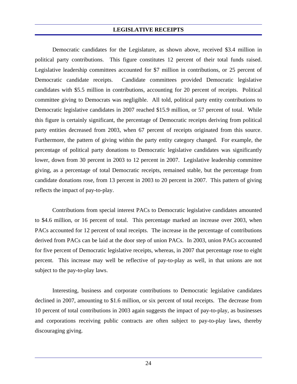Democratic candidates for the Legislature, as shown above, received \$3.4 million in political party contributions. This figure constitutes 12 percent of their total funds raised. Legislative leadership committees accounted for \$7 million in contributions, or 25 percent of Democratic candidate receipts. Candidate committees provided Democratic legislative candidates with \$5.5 million in contributions, accounting for 20 percent of receipts. Political committee giving to Democrats was negligible. All told, political party entity contributions to Democratic legislative candidates in 2007 reached \$15.9 million, or 57 percent of total. While this figure is certainly significant, the percentage of Democratic receipts deriving from political party entities decreased from 2003, when 67 percent of receipts originated from this source. Furthermore, the pattern of giving within the party entity category changed. For example, the percentage of political party donations to Democratic legislative candidates was significantly lower, down from 30 percent in 2003 to 12 percent in 2007. Legislative leadership committee giving, as a percentage of total Democratic receipts, remained stable, but the percentage from candidate donations rose, from 13 percent in 2003 to 20 percent in 2007. This pattern of giving reflects the impact of pay-to-play.

 Contributions from special interest PACs to Democratic legislative candidates amounted to \$4.6 million, or 16 percent of total. This percentage marked an increase over 2003, when PACs accounted for 12 percent of total receipts. The increase in the percentage of contributions derived from PACs can be laid at the door step of union PACs. In 2003, union PACs accounted for five percent of Democratic legislative receipts, whereas, in 2007 that percentage rose to eight percent. This increase may well be reflective of pay-to-play as well, in that unions are not subject to the pay-to-play laws.

 Interesting, business and corporate contributions to Democratic legislative candidates declined in 2007, amounting to \$1.6 million, or six percent of total receipts. The decrease from 10 percent of total contributions in 2003 again suggests the impact of pay-to-play, as businesses and corporations receiving public contracts are often subject to pay-to-play laws, thereby discouraging giving.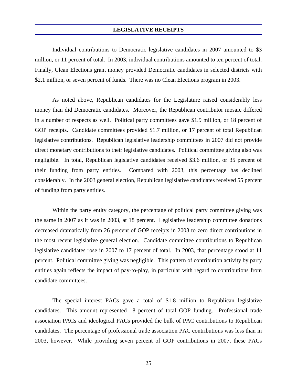Individual contributions to Democratic legislative candidates in 2007 amounted to \$3 million, or 11 percent of total. In 2003, individual contributions amounted to ten percent of total. Finally, Clean Elections grant money provided Democratic candidates in selected districts with \$2.1 million, or seven percent of funds. There was no Clean Elections program in 2003.

 As noted above, Republican candidates for the Legislature raised considerably less money than did Democratic candidates. Moreover, the Republican contributor mosaic differed in a number of respects as well. Political party committees gave \$1.9 million, or 18 percent of GOP receipts. Candidate committees provided \$1.7 million, or 17 percent of total Republican legislative contributions. Republican legislative leadership committees in 2007 did not provide direct monetary contributions to their legislative candidates. Political committee giving also was negligible. In total, Republican legislative candidates received \$3.6 million, or 35 percent of their funding from party entities. Compared with 2003, this percentage has declined considerably. In the 2003 general election, Republican legislative candidates received 55 percent of funding from party entities.

 Within the party entity category, the percentage of political party committee giving was the same in 2007 as it was in 2003, at 18 percent. Legislative leadership committee donations decreased dramatically from 26 percent of GOP receipts in 2003 to zero direct contributions in the most recent legislative general election. Candidate committee contributions to Republican legislative candidates rose in 2007 to 17 percent of total. In 2003, that percentage stood at 11 percent. Political committee giving was negligible. This pattern of contribution activity by party entities again reflects the impact of pay-to-play, in particular with regard to contributions from candidate committees.

 The special interest PACs gave a total of \$1.8 million to Republican legislative candidates. This amount represented 18 percent of total GOP funding. Professional trade association PACs and ideological PACs provided the bulk of PAC contributions to Republican candidates. The percentage of professional trade association PAC contributions was less than in 2003, however. While providing seven percent of GOP contributions in 2007, these PACs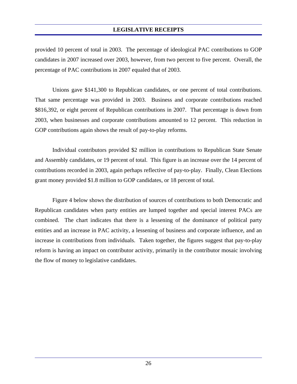provided 10 percent of total in 2003. The percentage of ideological PAC contributions to GOP candidates in 2007 increased over 2003, however, from two percent to five percent. Overall, the percentage of PAC contributions in 2007 equaled that of 2003.

 Unions gave \$141,300 to Republican candidates, or one percent of total contributions. That same percentage was provided in 2003. Business and corporate contributions reached \$816,392, or eight percent of Republican contributions in 2007. That percentage is down from 2003, when businesses and corporate contributions amounted to 12 percent. This reduction in GOP contributions again shows the result of pay-to-play reforms.

 Individual contributors provided \$2 million in contributions to Republican State Senate and Assembly candidates, or 19 percent of total. This figure is an increase over the 14 percent of contributions recorded in 2003, again perhaps reflective of pay-to-play. Finally, Clean Elections grant money provided \$1.8 million to GOP candidates, or 18 percent of total.

 Figure 4 below shows the distribution of sources of contributions to both Democratic and Republican candidates when party entities are lumped together and special interest PACs are combined. The chart indicates that there is a lessening of the dominance of political party entities and an increase in PAC activity, a lessening of business and corporate influence, and an increase in contributions from individuals. Taken together, the figures suggest that pay-to-play reform is having an impact on contributor activity, primarily in the contributor mosaic involving the flow of money to legislative candidates.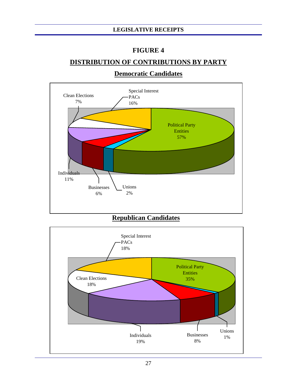#### **FIGURE 4**

#### **DISTRIBUTION OF CONTRIBUTIONS BY PARTY**



#### **Democratic Candidates**

#### **Republican Candidates**

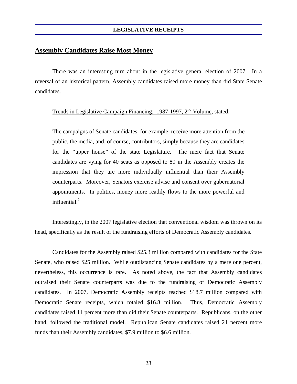#### **Assembly Candidates Raise Most Money**

 There was an interesting turn about in the legislative general election of 2007. In a reversal of an historical pattern, Assembly candidates raised more money than did State Senate candidates.

#### Trends in Legislative Campaign Financing: 1987-1997, 2<sup>nd</sup> Volume, stated:

The campaigns of Senate candidates, for example, receive more attention from the public, the media, and, of course, contributors, simply because they are candidates for the "upper house" of the state Legislature. The mere fact that Senate candidates are vying for 40 seats as opposed to 80 in the Assembly creates the impression that they are more individually influential than their Assembly counterparts. Moreover, Senators exercise advise and consent over gubernatorial appointments. In politics, money more readily flows to the more powerful and influential $^2$ 

 Interestingly, in the 2007 legislative election that conventional wisdom was thrown on its head, specifically as the result of the fundraising efforts of Democratic Assembly candidates.

 Candidates for the Assembly raised \$25.3 million compared with candidates for the State Senate, who raised \$25 million. While outdistancing Senate candidates by a mere one percent, nevertheless, this occurrence is rare. As noted above, the fact that Assembly candidates outraised their Senate counterparts was due to the fundraising of Democratic Assembly candidates. In 2007, Democratic Assembly receipts reached \$18.7 million compared with Democratic Senate receipts, which totaled \$16.8 million. Thus, Democratic Assembly candidates raised 11 percent more than did their Senate counterparts. Republicans, on the other hand, followed the traditional model. Republican Senate candidates raised 21 percent more funds than their Assembly candidates, \$7.9 million to \$6.6 million.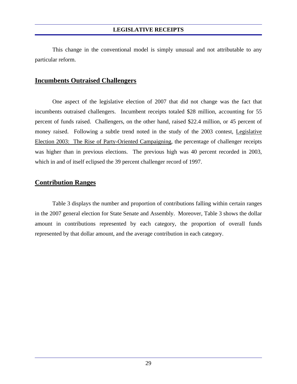This change in the conventional model is simply unusual and not attributable to any particular reform.

#### **Incumbents Outraised Challengers**

 One aspect of the legislative election of 2007 that did not change was the fact that incumbents outraised challengers. Incumbent receipts totaled \$28 million, accounting for 55 percent of funds raised. Challengers, on the other hand, raised \$22.4 million, or 45 percent of money raised. Following a subtle trend noted in the study of the 2003 contest, Legislative Election 2003: The Rise of Party-Oriented Campaigning, the percentage of challenger receipts was higher than in previous elections. The previous high was 40 percent recorded in 2003, which in and of itself eclipsed the 39 percent challenger record of 1997.

#### **Contribution Ranges**

 Table 3 displays the number and proportion of contributions falling within certain ranges in the 2007 general election for State Senate and Assembly. Moreover, Table 3 shows the dollar amount in contributions represented by each category, the proportion of overall funds represented by that dollar amount, and the average contribution in each category.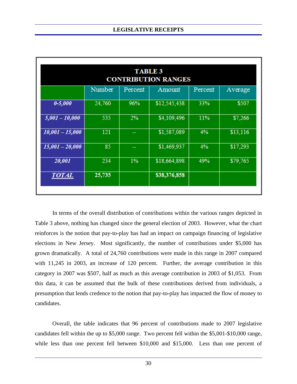|                   |        | <b>TABLE 3</b> | <b>CONTRIBUTION RANGES</b> |         |          |
|-------------------|--------|----------------|----------------------------|---------|----------|
|                   | Number | Percent        | Amount                     | Percent | Average  |
| $0 - 5,000$       | 24,760 | 96%            | \$12,545,438               | 33%     | \$507    |
| $5,001 - 10,000$  | 535    | 2%             | \$4,109,496                | 11%     | \$7,266  |
| $10,001 - 15,000$ | 121    | --             | \$1,587,089                | 4%      | \$13,116 |
| $15,001 - 20,000$ | 85     | --             | \$1,469,937                | 4%      | \$17,293 |
| 20,001            | 234    | $1\%$          | \$18,664,898               | 49%     | \$79,765 |
| <b>TOTAL</b>      | 25,735 |                | \$38,376,858               |         |          |
|                   |        |                |                            |         |          |

 In terms of the overall distribution of contributions within the various ranges depicted in Table 3 above, nothing has changed since the general election of 2003. However, what the chart reinforces is the notion that pay-to-play has had an impact on campaign financing of legislative elections in New Jersey. Most significantly, the number of contributions under \$5,000 has grown dramatically. A total of 24,760 contributions were made in this range in 2007 compared with 11,245 in 2003, an increase of 120 percent. Further, the average contribution in this category in 2007 was \$507, half as much as this average contribution in 2003 of \$1,053. From this data, it can be assumed that the bulk of these contributions derived from individuals, a presumption that lends credence to the notion that pay-to-play has impacted the flow of money to candidates.

 Overall, the table indicates that 96 percent of contributions made to 2007 legislative candidates fell within the up to \$5,000 range. Two percent fell within the \$5,001-\$10,000 range, while less than one percent fell between \$10,000 and \$15,000. Less than one percent of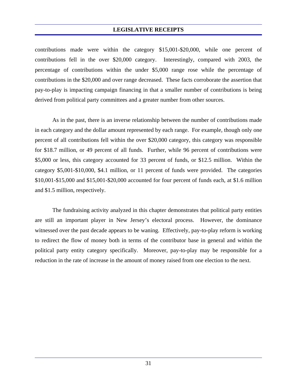contributions made were within the category \$15,001-\$20,000, while one percent of contributions fell in the over \$20,000 category. Interestingly, compared with 2003, the percentage of contributions within the under \$5,000 range rose while the percentage of contributions in the \$20,000 and over range decreased. These facts corroborate the assertion that pay-to-play is impacting campaign financing in that a smaller number of contributions is being derived from political party committees and a greater number from other sources.

 As in the past, there is an inverse relationship between the number of contributions made in each category and the dollar amount represented by each range. For example, though only one percent of all contributions fell within the over \$20,000 category, this category was responsible for \$18.7 million, or 49 percent of all funds. Further, while 96 percent of contributions were \$5,000 or less, this category accounted for 33 percent of funds, or \$12.5 million. Within the category \$5,001-\$10,000, \$4.1 million, or 11 percent of funds were provided. The categories \$10,001-\$15,000 and \$15,001-\$20,000 accounted for four percent of funds each, at \$1.6 million and \$1.5 million, respectively.

 The fundraising activity analyzed in this chapter demonstrates that political party entities are still an important player in New Jersey's electoral process. However, the dominance witnessed over the past decade appears to be waning. Effectively, pay-to-play reform is working to redirect the flow of money both in terms of the contributor base in general and within the political party entity category specifically. Moreover, pay-to-play may be responsible for a reduction in the rate of increase in the amount of money raised from one election to the next.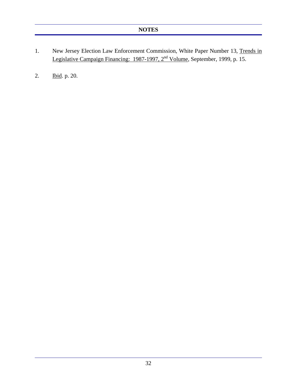- 1. New Jersey Election Law Enforcement Commission, White Paper Number 13, Trends in Legislative Campaign Financing: 1987-1997, 2<sup>nd</sup> Volume, September, 1999, p. 15.
- 2. Ibid. p. 20.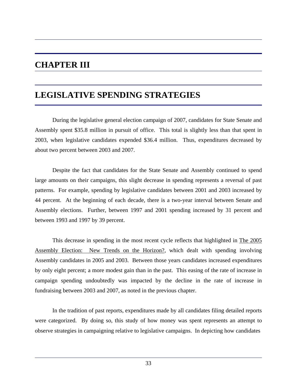# **CHAPTER III**

# **LEGISLATIVE SPENDING STRATEGIES**

 During the legislative general election campaign of 2007, candidates for State Senate and Assembly spent \$35.8 million in pursuit of office. This total is slightly less than that spent in 2003, when legislative candidates expended \$36.4 million. Thus, expenditures decreased by about two percent between 2003 and 2007.

 Despite the fact that candidates for the State Senate and Assembly continued to spend large amounts on their campaigns, this slight decrease in spending represents a reversal of past patterns. For example, spending by legislative candidates between 2001 and 2003 increased by 44 percent. At the beginning of each decade, there is a two-year interval between Senate and Assembly elections. Further, between 1997 and 2001 spending increased by 31 percent and between 1993 and 1997 by 39 percent.

 This decrease in spending in the most recent cycle reflects that highlighted in The 2005 Assembly Election: New Trends on the Horizon?, which dealt with spending involving Assembly candidates in 2005 and 2003. Between those years candidates increased expenditures by only eight percent; a more modest gain than in the past. This easing of the rate of increase in campaign spending undoubtedly was impacted by the decline in the rate of increase in fundraising between 2003 and 2007, as noted in the previous chapter.

 In the tradition of past reports, expenditures made by all candidates filing detailed reports were categorized. By doing so, this study of how money was spent represents an attempt to observe strategies in campaigning relative to legislative campaigns. In depicting how candidates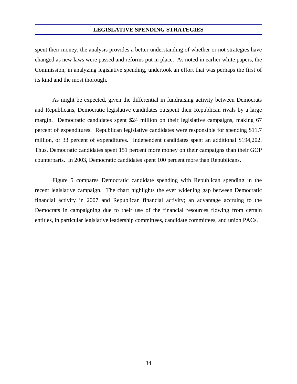spent their money, the analysis provides a better understanding of whether or not strategies have changed as new laws were passed and reforms put in place. As noted in earlier white papers, the Commission, in analyzing legislative spending, undertook an effort that was perhaps the first of its kind and the most thorough.

 As might be expected, given the differential in fundraising activity between Democrats and Republicans, Democratic legislative candidates outspent their Republican rivals by a large margin. Democratic candidates spent \$24 million on their legislative campaigns, making 67 percent of expenditures. Republican legislative candidates were responsible for spending \$11.7 million, or 33 percent of expenditures. Independent candidates spent an additional \$194,202. Thus, Democratic candidates spent 151 percent more money on their campaigns than their GOP counterparts. In 2003, Democratic candidates spent 100 percent more than Republicans.

 Figure 5 compares Democratic candidate spending with Republican spending in the recent legislative campaign. The chart highlights the ever widening gap between Democratic financial activity in 2007 and Republican financial activity; an advantage accruing to the Democrats in campaigning due to their use of the financial resources flowing from certain entities, in particular legislative leadership committees, candidate committees, and union PACs.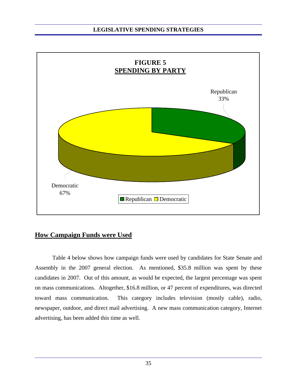

#### **How Campaign Funds were Used**

Table 4 below shows how campaign funds were used by candidates for State Senate and Assembly in the 2007 general election. As mentioned, \$35.8 million was spent by these candidates in 2007. Out of this amount, as would be expected, the largest percentage was spent on mass communications. Altogether, \$16.8 million, or 47 percent of expenditures, was directed toward mass communication. This category includes television (mostly cable), radio, newspaper, outdoor, and direct mail advertising. A new mass communication category, Internet advertising, has been added this time as well.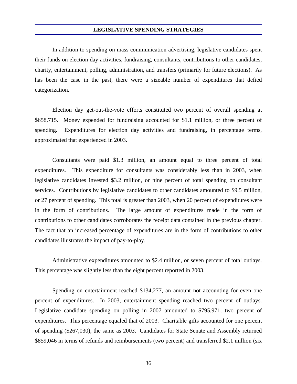In addition to spending on mass communication advertising, legislative candidates spent their funds on election day activities, fundraising, consultants, contributions to other candidates, charity, entertainment, polling, administration, and transfers (primarily for future elections). As has been the case in the past, there were a sizeable number of expenditures that defied categorization.

 Election day get-out-the-vote efforts constituted two percent of overall spending at \$658,715. Money expended for fundraising accounted for \$1.1 million, or three percent of spending. Expenditures for election day activities and fundraising, in percentage terms, approximated that experienced in 2003.

 Consultants were paid \$1.3 million, an amount equal to three percent of total expenditures. This expenditure for consultants was considerably less than in 2003, when legislative candidates invested \$3.2 million, or nine percent of total spending on consultant services. Contributions by legislative candidates to other candidates amounted to \$9.5 million, or 27 percent of spending. This total is greater than 2003, when 20 percent of expenditures were in the form of contributions. The large amount of expenditures made in the form of contributions to other candidates corroborates the receipt data contained in the previous chapter. The fact that an increased percentage of expenditures are in the form of contributions to other candidates illustrates the impact of pay-to-play.

 Administrative expenditures amounted to \$2.4 million, or seven percent of total outlays. This percentage was slightly less than the eight percent reported in 2003.

 Spending on entertainment reached \$134,277, an amount not accounting for even one percent of expenditures. In 2003, entertainment spending reached two percent of outlays. Legislative candidate spending on polling in 2007 amounted to \$795,971, two percent of expenditures. This percentage equaled that of 2003. Charitable gifts accounted for one percent of spending (\$267,030), the same as 2003. Candidates for State Senate and Assembly returned \$859,046 in terms of refunds and reimbursements (two percent) and transferred \$2.1 million (six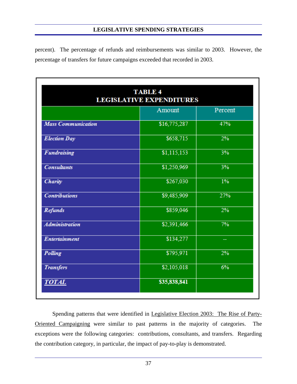percent). The percentage of refunds and reimbursements was similar to 2003. However, the percentage of transfers for future campaigns exceeded that recorded in 2003.

|                           | <b>TABLE 4</b><br><b>LEGISLATIVE EXPENDITURES</b> |         |
|---------------------------|---------------------------------------------------|---------|
|                           | Amount                                            | Percent |
| <b>Mass Communication</b> | \$16,775,287                                      | 47%     |
| <b>Election Day</b>       | \$658,715                                         | 2%      |
| <b>Fundraising</b>        | \$1,115,153                                       | 3%      |
| <b>Consultants</b>        | \$1,250,969                                       | 3%      |
| <b>Charity</b>            | \$267,030                                         | $1\%$   |
| <b>Contributions</b>      | \$9,485,909                                       | 27%     |
| <b>Refunds</b>            | \$859,046                                         | 2%      |
| <b>Administration</b>     | \$2,391,466                                       | 7%      |
| Entertainment             | \$134,277                                         |         |
| Polling                   | \$795,971                                         | 2%      |
| <b>Transfers</b>          | \$2,105,018                                       | 6%      |
| <b>TOTAL</b>              | \$35,838,841                                      |         |

 Spending patterns that were identified in Legislative Election 2003: The Rise of Party-Oriented Campaigning were similar to past patterns in the majority of categories. The exceptions were the following categories: contributions, consultants, and transfers. Regarding the contribution category, in particular, the impact of pay-to-play is demonstrated.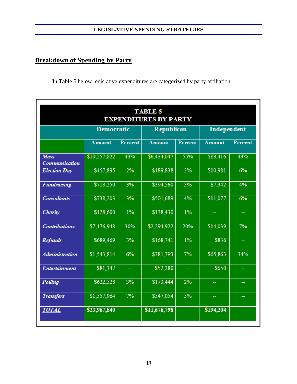# **Breakdown of Spending by Party**

In Table 5 below legislative expenditures are categorized by party affiliation.

| <b>TABLE 5</b><br><b>EXPENDITURES BY PARTY</b> |                   |                |                   |                |               |         |
|------------------------------------------------|-------------------|----------------|-------------------|----------------|---------------|---------|
|                                                | <b>Democratic</b> |                | <b>Republican</b> |                | Independent   |         |
|                                                | <b>Amount</b>     | <b>Percent</b> | <b>Amount</b>     | <b>Percent</b> | <b>Amount</b> | Percent |
| <b>Mass</b><br>Communication                   | \$10,257,822      | 43%            | \$6,434,047       | 55%            | \$83,416      | 43%     |
| <b>Election Day</b>                            | \$457,895         | 2%             | \$189,838         | 2%             | \$10,981      | 6%      |
| <b>Fundraising</b>                             | \$713,250         | 3%             | \$394,560         | 3%             | \$7,342       | 4%      |
| <b>Consultants</b>                             | \$738,203         | 3%             | \$501,689         | 4%             | \$11,077      | 6%      |
| Charity                                        | \$128,600         | 1%             | \$138,430         | $1\%$          |               | ₩.      |
| <b>Contributions</b>                           | \$7,176,948       | 30%            | \$2,294,922       | 20%            | \$14,039      | 7%      |
| <b>Refunds</b>                                 | \$689,469         | 3%             | \$168,741         | $1\%$          | \$836         | ÷       |
| <b>Administration</b>                          | \$1,543,814       | 6%             | \$781,793         | 7%             | \$65,863      | 34%     |
| Entertainment                                  | \$81,347          | ш.             | \$52,280          | μ,             | \$650         | Щ,      |
| Polling                                        | \$622,528         | 3%             | \$173,444         | 2%             |               |         |
| <b>Transfers</b>                               | \$1,557,964       | 7%             | \$547,054         | 5%             |               | ₩,      |
| <b>TOTAL</b>                                   | \$23,967,840      |                | \$11,676,798      |                | \$194,204     |         |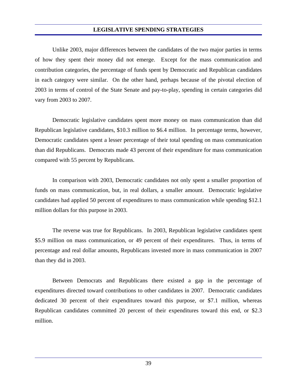Unlike 2003, major differences between the candidates of the two major parties in terms of how they spent their money did not emerge. Except for the mass communication and contribution categories, the percentage of funds spent by Democratic and Republican candidates in each category were similar. On the other hand, perhaps because of the pivotal election of 2003 in terms of control of the State Senate and pay-to-play, spending in certain categories did vary from 2003 to 2007.

 Democratic legislative candidates spent more money on mass communication than did Republican legislative candidates, \$10.3 million to \$6.4 million. In percentage terms, however, Democratic candidates spent a lesser percentage of their total spending on mass communication than did Republicans. Democrats made 43 percent of their expenditure for mass communication compared with 55 percent by Republicans.

 In comparison with 2003, Democratic candidates not only spent a smaller proportion of funds on mass communication, but, in real dollars, a smaller amount. Democratic legislative candidates had applied 50 percent of expenditures to mass communication while spending \$12.1 million dollars for this purpose in 2003.

 The reverse was true for Republicans. In 2003, Republican legislative candidates spent \$5.9 million on mass communication, or 49 percent of their expenditures. Thus, in terms of percentage and real dollar amounts, Republicans invested more in mass communication in 2007 than they did in 2003.

 Between Democrats and Republicans there existed a gap in the percentage of expenditures directed toward contributions to other candidates in 2007. Democratic candidates dedicated 30 percent of their expenditures toward this purpose, or \$7.1 million, whereas Republican candidates committed 20 percent of their expenditures toward this end, or \$2.3 million.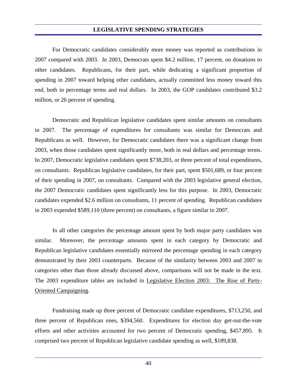For Democratic candidates considerably more money was reported as contributions in 2007 compared with 2003. In 2003, Democrats spent \$4.2 million, 17 percent, on donations to other candidates. Republicans, for their part, while dedicating a significant proportion of spending in 2007 toward helping other candidates, actually committed less money toward this end, both in percentage terms and real dollars. In 2003, the GOP candidates contributed \$3.2 million, or 26 percent of spending.

 Democratic and Republican legislative candidates spent similar amounts on consultants in 2007. The percentage of expenditures for consultants was similar for Democrats and Republicans as well. However, for Democratic candidates there was a significant change from 2003, when those candidates spent significantly more, both in real dollars and percentage terms. In 2007, Democratic legislative candidates spent \$738,203, or three percent of total expenditures, on consultants. Republican legislative candidates, for their part, spent \$501,689, or four percent of their spending in 2007, on consultants. Compared with the 2003 legislative general election, the 2007 Democratic candidates spent significantly less for this purpose. In 2003, Democratic candidates expended \$2.6 million on consultants, 11 percent of spending. Republican candidates in 2003 expended \$589,110 (three percent) on consultants, a figure similar to 2007.

 In all other categories the percentage amount spent by both major party candidates was similar. Moreover, the percentage amounts spent in each category by Democratic and Republican legislative candidates essentially mirrored the percentage spending in each category demonstrated by their 2003 counterparts. Because of the similarity between 2003 and 2007 in categories other than those already discussed above, comparisons will not be made in the text. The 2003 expenditure tables are included in Legislative Election 2003: The Rise of Party-Oriented Campaigning.

 Fundraising made up three percent of Democratic candidate expenditures, \$713,250, and three percent of Republican ones, \$394,560. Expenditures for election day get-out-the-vote efforts and other activities accounted for two percent of Democratic spending, \$457,895. It comprised two percent of Republican legislative candidate spending as well, \$189,838.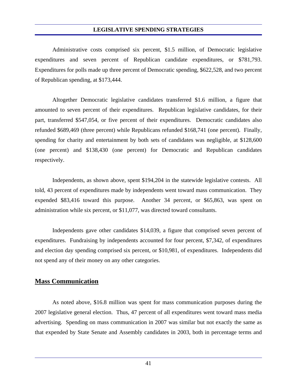Administrative costs comprised six percent, \$1.5 million, of Democratic legislative expenditures and seven percent of Republican candidate expenditures, or \$781,793. Expenditures for polls made up three percent of Democratic spending, \$622,528, and two percent of Republican spending, at \$173,444.

 Altogether Democratic legislative candidates transferred \$1.6 million, a figure that amounted to seven percent of their expenditures. Republican legislative candidates, for their part, transferred \$547,054, or five percent of their expenditures. Democratic candidates also refunded \$689,469 (three percent) while Republicans refunded \$168,741 (one percent). Finally, spending for charity and entertainment by both sets of candidates was negligible, at \$128,600 (one percent) and \$138,430 (one percent) for Democratic and Republican candidates respectively.

 Independents, as shown above, spent \$194,204 in the statewide legislative contests. All told, 43 percent of expenditures made by independents went toward mass communication. They expended \$83,416 toward this purpose. Another 34 percent, or \$65,863, was spent on administration while six percent, or \$11,077, was directed toward consultants.

 Independents gave other candidates \$14,039, a figure that comprised seven percent of expenditures. Fundraising by independents accounted for four percent, \$7,342, of expenditures and election day spending comprised six percent, or \$10,981, of expenditures. Independents did not spend any of their money on any other categories.

#### **Mass Communication**

 As noted above, \$16.8 million was spent for mass communication purposes during the 2007 legislative general election. Thus, 47 percent of all expenditures went toward mass media advertising. Spending on mass communication in 2007 was similar but not exactly the same as that expended by State Senate and Assembly candidates in 2003, both in percentage terms and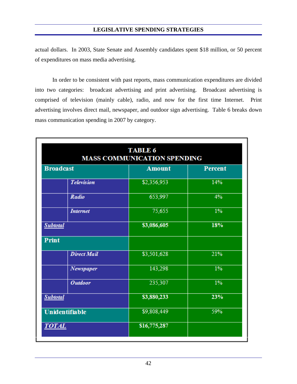actual dollars. In 2003, State Senate and Assembly candidates spent \$18 million, or 50 percent of expenditures on mass media advertising.

 In order to be consistent with past reports, mass communication expenditures are divided into two categories: broadcast advertising and print advertising. Broadcast advertising is comprised of television (mainly cable), radio, and now for the first time Internet. Print advertising involves direct mail, newspaper, and outdoor sign advertising. Table 6 breaks down mass communication spending in 2007 by category.

|                       | <b>TABLE 6</b><br><b>MASS COMMUNICATION SPENDING</b> |                |
|-----------------------|------------------------------------------------------|----------------|
| <b>Broadcast</b>      | <b>Amount</b>                                        | <b>Percent</b> |
| <b>Television</b>     | \$2,356,953                                          | 14%            |
| Radio                 | 653,997                                              | 4%             |
| <b>Internet</b>       | 75,655                                               | $1\%$          |
| <b>Subtotal</b>       | \$3,086,605                                          | 18%            |
| <b>Print</b>          |                                                      |                |
| <b>Direct Mail</b>    | \$3,501,628                                          | 21%            |
| Newspaper             | 143,298                                              | $1\%$          |
| <b>Outdoor</b>        | 235,307                                              | $1\%$          |
| <b>Subtotal</b>       | \$3,880,233                                          | 23%            |
| <b>Unidentifiable</b> | \$9,808,449                                          | 59%            |
| <b>TOTAL</b>          | \$16,775,287                                         |                |
|                       |                                                      |                |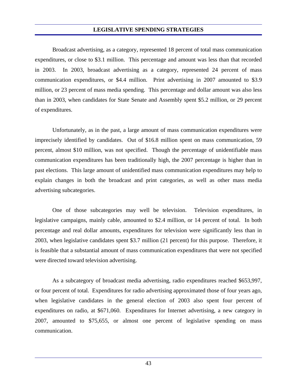Broadcast advertising, as a category, represented 18 percent of total mass communication expenditures, or close to \$3.1 million. This percentage and amount was less than that recorded in 2003. In 2003, broadcast advertising as a category, represented 24 percent of mass communication expenditures, or \$4.4 million. Print advertising in 2007 amounted to \$3.9 million, or 23 percent of mass media spending. This percentage and dollar amount was also less than in 2003, when candidates for State Senate and Assembly spent \$5.2 million, or 29 percent of expenditures.

 Unfortunately, as in the past, a large amount of mass communication expenditures were imprecisely identified by candidates. Out of \$16.8 million spent on mass communication, 59 percent, almost \$10 million, was not specified. Though the percentage of unidentifiable mass communication expenditures has been traditionally high, the 2007 percentage is higher than in past elections. This large amount of unidentified mass communication expenditures may help to explain changes in both the broadcast and print categories, as well as other mass media advertising subcategories.

 One of those subcategories may well be television. Television expenditures, in legislative campaigns, mainly cable, amounted to \$2.4 million, or 14 percent of total. In both percentage and real dollar amounts, expenditures for television were significantly less than in 2003, when legislative candidates spent \$3.7 million (21 percent) for this purpose. Therefore, it is feasible that a substantial amount of mass communication expenditures that were not specified were directed toward television advertising.

 As a subcategory of broadcast media advertising, radio expenditures reached \$653,997, or four percent of total. Expenditures for radio advertising approximated those of four years ago, when legislative candidates in the general election of 2003 also spent four percent of expenditures on radio, at \$671,060. Expenditures for Internet advertising, a new category in 2007, amounted to \$75,655, or almost one percent of legislative spending on mass communication.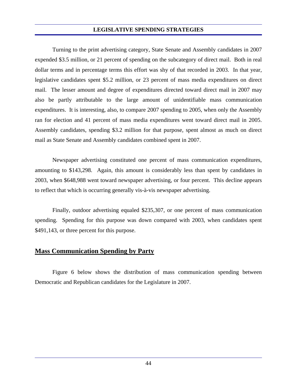Turning to the print advertising category, State Senate and Assembly candidates in 2007 expended \$3.5 million, or 21 percent of spending on the subcategory of direct mail. Both in real dollar terms and in percentage terms this effort was shy of that recorded in 2003. In that year, legislative candidates spent \$5.2 million, or 23 percent of mass media expenditures on direct mail. The lesser amount and degree of expenditures directed toward direct mail in 2007 may also be partly attributable to the large amount of unidentifiable mass communication expenditures. It is interesting, also, to compare 2007 spending to 2005, when only the Assembly ran for election and 41 percent of mass media expenditures went toward direct mail in 2005. Assembly candidates, spending \$3.2 million for that purpose, spent almost as much on direct mail as State Senate and Assembly candidates combined spent in 2007.

 Newspaper advertising constituted one percent of mass communication expenditures, amounting to \$143,298. Again, this amount is considerably less than spent by candidates in 2003, when \$648,988 went toward newspaper advertising, or four percent. This decline appears to reflect that which is occurring generally vis-à-vis newspaper advertising.

 Finally, outdoor advertising equaled \$235,307, or one percent of mass communication spending. Spending for this purpose was down compared with 2003, when candidates spent \$491,143, or three percent for this purpose.

#### **Mass Communication Spending by Party**

 Figure 6 below shows the distribution of mass communication spending between Democratic and Republican candidates for the Legislature in 2007.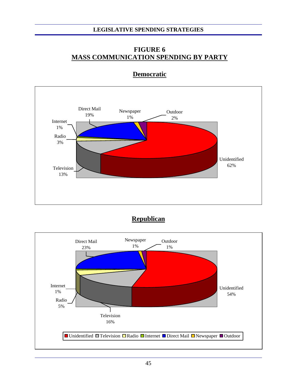#### **FIGURE 6 MASS COMMUNICATION SPENDING BY PARTY**



#### **Democratic**

**Republican**

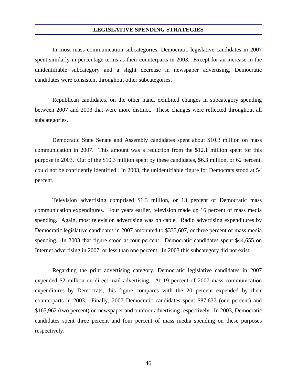In most mass communication subcategories, Democratic legislative candidates in 2007 spent similarly in percentage terms as their counterparts in 2003. Except for an increase in the unidentifiable subcategory and a slight decrease in newspaper advertising, Democratic candidates were consistent throughout other subcategories.

 Republican candidates, on the other hand, exhibited changes in subcategory spending between 2007 and 2003 that were more distinct. These changes were reflected throughout all subcategories.

 Democratic State Senate and Assembly candidates spent about \$10.3 million on mass communication in 2007. This amount was a reduction from the \$12.1 million spent for this purpose in 2003. Out of the \$10.3 million spent by these candidates, \$6.3 million, or 62 percent, could not be confidently identified. In 2003, the unidentifiable figure for Democrats stood at 54 percent.

 Television advertising comprised \$1.3 million, or 13 percent of Democratic mass communication expenditures. Four years earlier, television made up 16 percent of mass media spending. Again, most television advertising was on cable. Radio advertising expenditures by Democratic legislative candidates in 2007 amounted to \$333,607, or three percent of mass media spending. In 2003 that figure stood at four percent. Democratic candidates spent \$44,655 on Internet advertising in 2007, or less than one percent. In 2003 this subcategory did not exist.

 Regarding the print advertising category, Democratic legislative candidates in 2007 expended \$2 million on direct mail advertising. At 19 percent of 2007 mass communication expenditures by Democrats, this figure compares with the 20 percent expended by their counterparts in 2003. Finally, 2007 Democratic candidates spent \$87,637 (one percent) and \$165,962 (two percent) on newspaper and outdoor advertising respectively. In 2003, Democratic candidates spent three percent and four percent of mass media spending on these purposes respectively.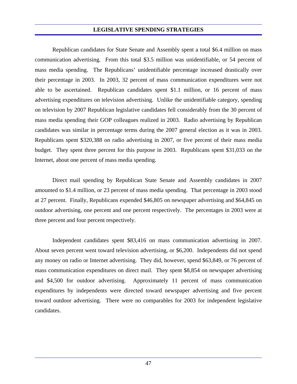Republican candidates for State Senate and Assembly spent a total \$6.4 million on mass communication advertising. From this total \$3.5 million was unidentifiable, or 54 percent of mass media spending. The Republicans' unidentifiable percentage increased drastically over their percentage in 2003. In 2003, 32 percent of mass communication expenditures were not able to be ascertained. Republican candidates spent \$1.1 million, or 16 percent of mass advertising expenditures on television advertising. Unlike the unidentifiable category, spending on television by 2007 Republican legislative candidates fell considerably from the 30 percent of mass media spending their GOP colleagues realized in 2003. Radio advertising by Republican candidates was similar in percentage terms during the 2007 general election as it was in 2003. Republicans spent \$320,388 on radio advertising in 2007, or five percent of their mass media budget. They spent three percent for this purpose in 2003. Republicans spent \$31,033 on the Internet, about one percent of mass media spending.

 Direct mail spending by Republican State Senate and Assembly candidates in 2007 amounted to \$1.4 million, or 23 percent of mass media spending. That percentage in 2003 stood at 27 percent. Finally, Republicans expended \$46,805 on newspaper advertising and \$64,845 on outdoor advertising, one percent and one percent respectively. The percentages in 2003 were at three percent and four percent respectively.

 Independent candidates spent \$83,416 on mass communication advertising in 2007. About seven percent went toward television advertising, or \$6,200. Independents did not spend any money on radio or Internet advertising. They did, however, spend \$63,849, or 76 percent of mass communication expenditures on direct mail. They spent \$8,854 on newspaper advertising and \$4,500 for outdoor advertising. Approximately 11 percent of mass communication expenditures by independents were directed toward newspaper advertising and five percent toward outdoor advertising. There were no comparables for 2003 for independent legislative candidates.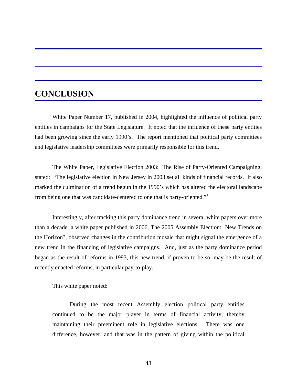# **CONCLUSION**

 White Paper Number 17, published in 2004, highlighted the influence of political party entities in campaigns for the State Legislature. It noted that the influence of these party entities had been growing since the early 1990's. The report mentioned that political party committees and legislative leadership committees were primarily responsible for this trend.

 The White Paper, Legislative Election 2003: The Rise of Party-Oriented Campaigning, stated: "The legislative election in New Jersey in 2003 set all kinds of financial records. It also marked the culmination of a trend begun in the 1990's which has altered the electoral landscape from being one that was candidate-centered to one that is party-oriented."

 Interestingly, after tracking this party dominance trend in several white papers over more than a decade, a white paper published in 2006, The 2005 Assembly Election: New Trends on the Horizon?, observed changes in the contribution mosaic that might signal the emergence of a new trend in the financing of legislative campaigns. And, just as the party dominance period began as the result of reforms in 1993, this new trend, if proven to be so, may be the result of recently enacted reforms, in particular pay-to-play.

This white paper noted:

 During the most recent Assembly election political party entities continued to be the major player in terms of financial activity, thereby maintaining their preeminent role in legislative elections. There was one difference, however, and that was in the pattern of giving within the political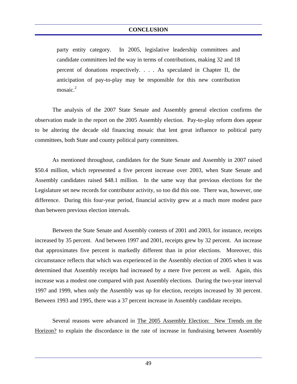party entity category. In 2005, legislative leadership committees and candidate committees led the way in terms of contributions, making 32 and 18 percent of donations respectively. . . . As speculated in Chapter II, the anticipation of pay-to-play may be responsible for this new contribution mosaic. $2$ 

 The analysis of the 2007 State Senate and Assembly general election confirms the observation made in the report on the 2005 Assembly election. Pay-to-play reform does appear to be altering the decade old financing mosaic that lent great influence to political party committees, both State and county political party committees.

 As mentioned throughout, candidates for the State Senate and Assembly in 2007 raised \$50.4 million, which represented a five percent increase over 2003, when State Senate and Assembly candidates raised \$48.1 million. In the same way that previous elections for the Legislature set new records for contributor activity, so too did this one. There was, however, one difference. During this four-year period, financial activity grew at a much more modest pace than between previous election intervals.

 Between the State Senate and Assembly contests of 2001 and 2003, for instance, receipts increased by 35 percent. And between 1997 and 2001, receipts grew by 32 percent. An increase that approximates five percent is markedly different than in prior elections. Moreover, this circumstance reflects that which was experienced in the Assembly election of 2005 when it was determined that Assembly receipts had increased by a mere five percent as well. Again, this increase was a modest one compared with past Assembly elections. During the two-year interval 1997 and 1999, when only the Assembly was up for election, receipts increased by 30 percent. Between 1993 and 1995, there was a 37 percent increase in Assembly candidate receipts.

 Several reasons were advanced in The 2005 Assembly Election: New Trends on the Horizon? to explain the discordance in the rate of increase in fundraising between Assembly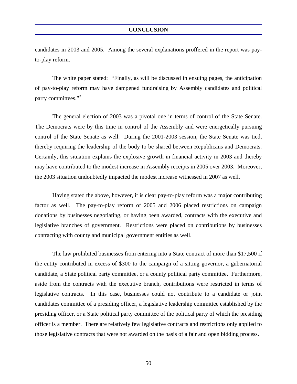candidates in 2003 and 2005. Among the several explanations proffered in the report was payto-play reform.

 The white paper stated: "Finally, as will be discussed in ensuing pages, the anticipation of pay-to-play reform may have dampened fundraising by Assembly candidates and political party committees."<sup>3</sup>

 The general election of 2003 was a pivotal one in terms of control of the State Senate. The Democrats were by this time in control of the Assembly and were energetically pursuing control of the State Senate as well. During the 2001-2003 session, the State Senate was tied, thereby requiring the leadership of the body to be shared between Republicans and Democrats. Certainly, this situation explains the explosive growth in financial activity in 2003 and thereby may have contributed to the modest increase in Assembly receipts in 2005 over 2003. Moreover, the 2003 situation undoubtedly impacted the modest increase witnessed in 2007 as well.

 Having stated the above, however, it is clear pay-to-play reform was a major contributing factor as well. The pay-to-play reform of 2005 and 2006 placed restrictions on campaign donations by businesses negotiating, or having been awarded, contracts with the executive and legislative branches of government. Restrictions were placed on contributions by businesses contracting with county and municipal government entities as well.

 The law prohibited businesses from entering into a State contract of more than \$17,500 if the entity contributed in excess of \$300 to the campaign of a sitting governor, a gubernatorial candidate, a State political party committee, or a county political party committee. Furthermore, aside from the contracts with the executive branch, contributions were restricted in terms of legislative contracts. In this case, businesses could not contribute to a candidate or joint candidates committee of a presiding officer, a legislative leadership committee established by the presiding officer, or a State political party committee of the political party of which the presiding officer is a member. There are relatively few legislative contracts and restrictions only applied to those legislative contracts that were not awarded on the basis of a fair and open bidding process.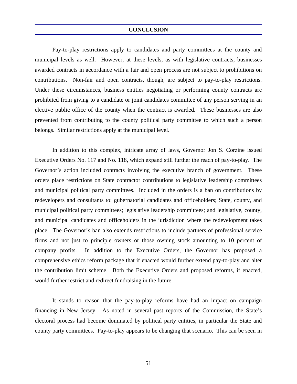#### **CONCLUSION**

 Pay-to-play restrictions apply to candidates and party committees at the county and municipal levels as well. However, at these levels, as with legislative contracts, businesses awarded contracts in accordance with a fair and open process are not subject to prohibitions on contributions. Non-fair and open contracts, though, are subject to pay-to-play restrictions. Under these circumstances, business entities negotiating or performing county contracts are prohibited from giving to a candidate or joint candidates committee of any person serving in an elective public office of the county when the contract is awarded. These businesses are also prevented from contributing to the county political party committee to which such a person belongs. Similar restrictions apply at the municipal level.

 In addition to this complex, intricate array of laws, Governor Jon S. Corzine issued Executive Orders No. 117 and No. 118, which expand still further the reach of pay-to-play. The Governor's action included contracts involving the executive branch of government. These orders place restrictions on State contractor contributions to legislative leadership committees and municipal political party committees. Included in the orders is a ban on contributions by redevelopers and consultants to: gubernatorial candidates and officeholders; State, county, and municipal political party committees; legislative leadership committees; and legislative, county, and municipal candidates and officeholders in the jurisdiction where the redevelopment takes place. The Governor's ban also extends restrictions to include partners of professional service firms and not just to principle owners or those owning stock amounting to 10 percent of company profits. In addition to the Executive Orders, the Governor has proposed a comprehensive ethics reform package that if enacted would further extend pay-to-play and alter the contribution limit scheme. Both the Executive Orders and proposed reforms, if enacted, would further restrict and redirect fundraising in the future.

 It stands to reason that the pay-to-play reforms have had an impact on campaign financing in New Jersey. As noted in several past reports of the Commission, the State's electoral process had become dominated by political party entities, in particular the State and county party committees. Pay-to-play appears to be changing that scenario. This can be seen in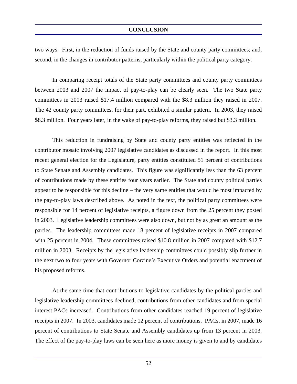two ways. First, in the reduction of funds raised by the State and county party committees; and, second, in the changes in contributor patterns, particularly within the political party category.

 In comparing receipt totals of the State party committees and county party committees between 2003 and 2007 the impact of pay-to-play can be clearly seen. The two State party committees in 2003 raised \$17.4 million compared with the \$8.3 million they raised in 2007. The 42 county party committees, for their part, exhibited a similar pattern. In 2003, they raised \$8.3 million. Four years later, in the wake of pay-to-play reforms, they raised but \$3.3 million.

 This reduction in fundraising by State and county party entities was reflected in the contributor mosaic involving 2007 legislative candidates as discussed in the report. In this most recent general election for the Legislature, party entities constituted 51 percent of contributions to State Senate and Assembly candidates. This figure was significantly less than the 63 percent of contributions made by these entities four years earlier. The State and county political parties appear to be responsible for this decline – the very same entities that would be most impacted by the pay-to-play laws described above. As noted in the text, the political party committees were responsible for 14 percent of legislative receipts, a figure down from the 25 percent they posted in 2003. Legislative leadership committees were also down, but not by as great an amount as the parties. The leadership committees made 18 percent of legislative receipts in 2007 compared with 25 percent in 2004. These committees raised \$10.8 million in 2007 compared with \$12.7 million in 2003. Receipts by the legislative leadership committees could possibly slip further in the next two to four years with Governor Corzine's Executive Orders and potential enactment of his proposed reforms.

 At the same time that contributions to legislative candidates by the political parties and legislative leadership committees declined, contributions from other candidates and from special interest PACs increased. Contributions from other candidates reached 19 percent of legislative receipts in 2007. In 2003, candidates made 12 percent of contributions. PACs, in 2007, made 16 percent of contributions to State Senate and Assembly candidates up from 13 percent in 2003. The effect of the pay-to-play laws can be seen here as more money is given to and by candidates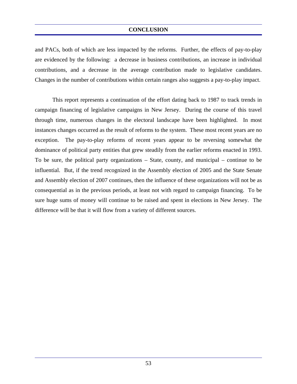#### **CONCLUSION**

and PACs, both of which are less impacted by the reforms. Further, the effects of pay-to-play are evidenced by the following: a decrease in business contributions, an increase in individual contributions, and a decrease in the average contribution made to legislative candidates. Changes in the number of contributions within certain ranges also suggests a pay-to-play impact.

 This report represents a continuation of the effort dating back to 1987 to track trends in campaign financing of legislative campaigns in New Jersey. During the course of this travel through time, numerous changes in the electoral landscape have been highlighted. In most instances changes occurred as the result of reforms to the system. These most recent years are no exception. The pay-to-play reforms of recent years appear to be reversing somewhat the dominance of political party entities that grew steadily from the earlier reforms enacted in 1993. To be sure, the political party organizations – State, county, and municipal – continue to be influential. But, if the trend recognized in the Assembly election of 2005 and the State Senate and Assembly election of 2007 continues, then the influence of these organizations will not be as consequential as in the previous periods, at least not with regard to campaign financing. To be sure huge sums of money will continue to be raised and spent in elections in New Jersey. The difference will be that it will flow from a variety of different sources.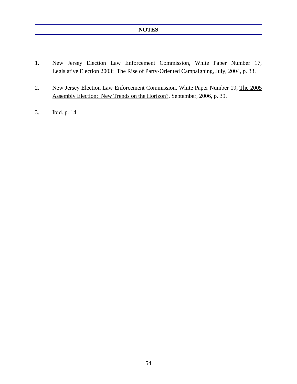- 1. New Jersey Election Law Enforcement Commission, White Paper Number 17, Legislative Election 2003: The Rise of Party-Oriented Campaigning, July, 2004, p. 33.
- 2. New Jersey Election Law Enforcement Commission, White Paper Number 19, The 2005 Assembly Election: New Trends on the Horizon?, September, 2006, p. 39.
- 3. Ibid. p. 14.